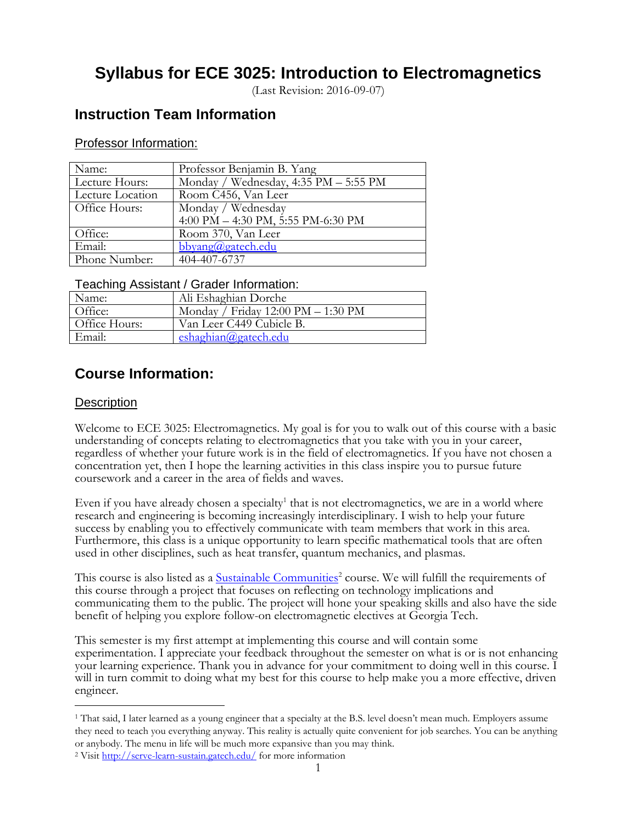# **Syllabus for ECE 3025: Introduction to Electromagnetics**

(Last Revision: 2016-09-07)

## **Instruction Team Information**

## Professor Information:

| Name:            | Professor Benjamin B. Yang            |
|------------------|---------------------------------------|
| Lecture Hours:   | Monday / Wednesday, 4:35 PM - 5:55 PM |
| Lecture Location | Room C456, Van Leer                   |
| Office Hours:    | Monday / Wednesday                    |
|                  | 4:00 PM $-$ 4:30 PM, 5:55 PM-6:30 PM  |
| Office:          | Room 370, Van Leer                    |
| Email:           | bbyang@gatech.edu                     |
| Phone Number:    | 404-407-6737                          |

## Teaching Assistant / Grader Information:

| . . <i>. .</i> |                                                      |  |  |  |
|----------------|------------------------------------------------------|--|--|--|
| Name:          | Ali Eshaghian Dorche                                 |  |  |  |
| Office:        | Monday / Friday $12:00 \text{ PM} - 1:30 \text{ PM}$ |  |  |  |
| Office Hours:  | Van Leer C449 Cubicle B.                             |  |  |  |
| Email:         | eshaghian@gatech.edu                                 |  |  |  |

## **Course Information:**

## **Description**

 $\overline{a}$ 

Welcome to ECE 3025: Electromagnetics. My goal is for you to walk out of this course with a basic understanding of concepts relating to electromagnetics that you take with you in your career, regardless of whether your future work is in the field of electromagnetics. If you have not chosen a concentration yet, then I hope the learning activities in this class inspire you to pursue future coursework and a career in the area of fields and waves.

Even if you have already chosen a specialty<sup>1</sup> that is not electromagnetics, we are in a world where research and engineering is becoming increasingly interdisciplinary. I wish to help your future success by enabling you to effectively communicate with team members that work in this area. Furthermore, this class is a unique opportunity to learn specific mathematical tools that are often used in other disciplines, such as heat transfer, quantum mechanics, and plasmas.

This course is also listed as a **Sustainable Communities**<sup>2</sup> course. We will fulfill the requirements of this course through a project that focuses on reflecting on technology implications and communicating them to the public. The project will hone your speaking skills and also have the side benefit of helping you explore follow-on electromagnetic electives at Georgia Tech.

This semester is my first attempt at implementing this course and will contain some experimentation. I appreciate your feedback throughout the semester on what is or is not enhancing your learning experience. Thank you in advance for your commitment to doing well in this course. I will in turn commit to doing what my best for this course to help make you a more effective, driven engineer.

<sup>1</sup> That said, I later learned as a young engineer that a specialty at the B.S. level doesn't mean much. Employers assume they need to teach you everything anyway. This reality is actually quite convenient for job searches. You can be anything or anybody. The menu in life will be much more expansive than you may think.

<sup>2</sup> Visit<http://serve-learn-sustain.gatech.edu/> for more information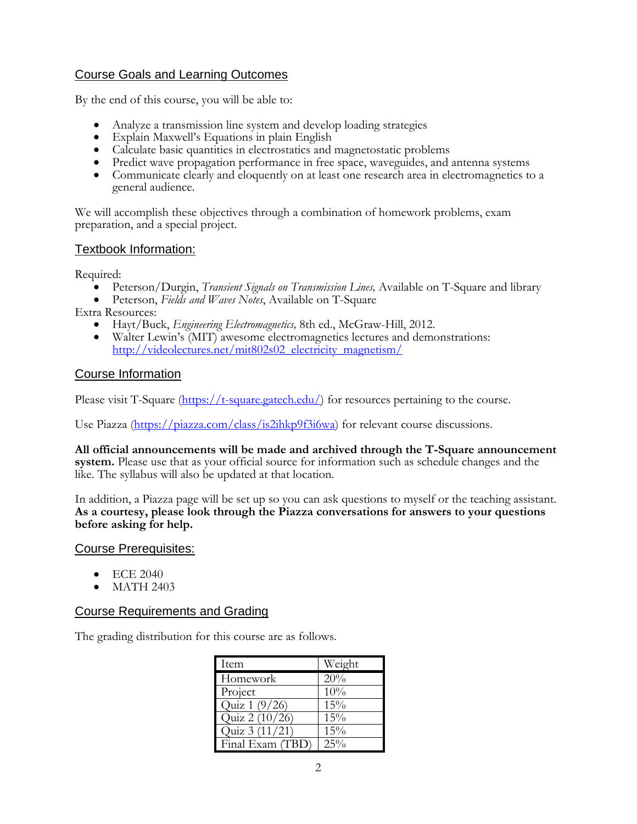## Course Goals and Learning Outcomes

By the end of this course, you will be able to:

- Analyze a transmission line system and develop loading strategies
- Explain Maxwell's Equations in plain English
- Calculate basic quantities in electrostatics and magnetostatic problems
- Predict wave propagation performance in free space, waveguides, and antenna systems
- Communicate clearly and eloquently on at least one research area in electromagnetics to a general audience.

We will accomplish these objectives through a combination of homework problems, exam preparation, and a special project.

## Textbook Information:

Required:

- Peterson/Durgin, *Transient Signals on Transmission Lines,* Available on T-Square and library
- Peterson, *Fields and Waves Notes*, Available on T-Square

Extra Resources:

- Hayt/Buck, *Engineering Electromagnetics,* 8th ed., McGraw-Hill, 2012.
- Walter Lewin's (MIT) awesome electromagnetics lectures and demonstrations: [http://videolectures.net/mit802s02\\_electricity\\_magnetism/](http://videolectures.net/mit802s02_electricity_magnetism/)

## Course Information

Please visit T-Square [\(https://t-square.gatech.edu/\)](https://t-square.gatech.edu/) for resources pertaining to the course.

Use Piazza [\(https://piazza.com/class/is2ihkp9f3i6wa\)](https://piazza.com/class/is2ihkp9f3i6wa) for relevant course discussions.

**All official announcements will be made and archived through the T-Square announcement system.** Please use that as your official source for information such as schedule changes and the like. The syllabus will also be updated at that location.

In addition, a Piazza page will be set up so you can ask questions to myself or the teaching assistant. **As a courtesy, please look through the Piazza conversations for answers to your questions before asking for help.**

## Course Prerequisites:

- $\bullet$  ECE 2040
- MATH 2403

## Course Requirements and Grading

The grading distribution for this course are as follows.

| Item             | Weight |
|------------------|--------|
| Homework         | 20%    |
| Project          | 10%    |
| Quiz 1 (9/26)    | 15%    |
| Quiz 2 (10/26)   | 15%    |
| Quiz 3 (11/21)   | 15%    |
| Final Exam (TBD) | $25\%$ |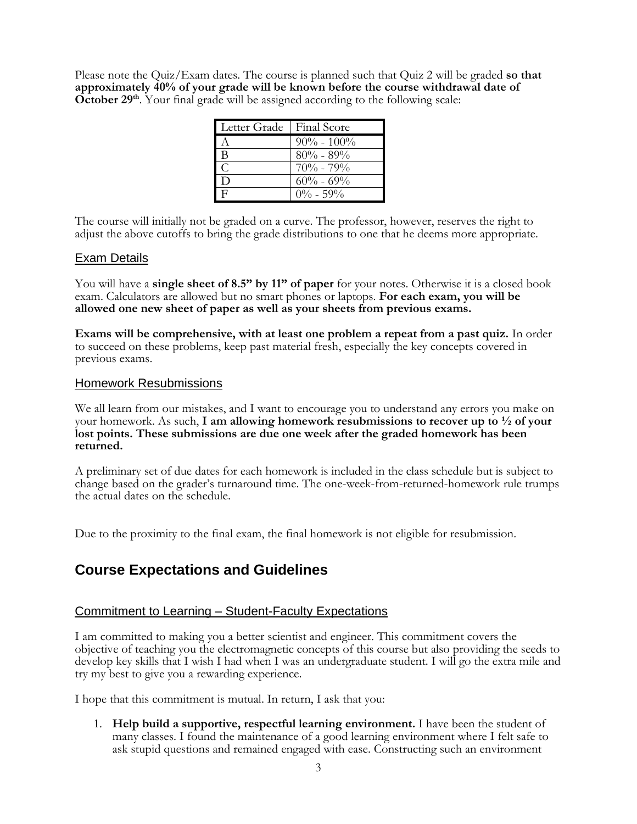Please note the Quiz/Exam dates. The course is planned such that Quiz 2 will be graded **so that approximately 40% of your grade will be known before the course withdrawal date of**  October 29<sup>th</sup>. Your final grade will be assigned according to the following scale:

| Letter Grade | Final Score    |
|--------------|----------------|
|              | $90\% - 100\%$ |
| в            | $80\% - 89\%$  |
| $\Gamma$     | $70\% - 79\%$  |
| $\Box$       | $60\% - 69\%$  |
|              | $0\% - 59\%$   |

The course will initially not be graded on a curve. The professor, however, reserves the right to adjust the above cutoffs to bring the grade distributions to one that he deems more appropriate.

## Exam Details

You will have a **single sheet of 8.5" by 11" of paper** for your notes. Otherwise it is a closed book exam. Calculators are allowed but no smart phones or laptops. **For each exam, you will be allowed one new sheet of paper as well as your sheets from previous exams.**

**Exams will be comprehensive, with at least one problem a repeat from a past quiz.** In order to succeed on these problems, keep past material fresh, especially the key concepts covered in previous exams.

#### Homework Resubmissions

We all learn from our mistakes, and I want to encourage you to understand any errors you make on your homework. As such, **I am allowing homework resubmissions to recover up to ½ of your lost points. These submissions are due one week after the graded homework has been returned.**

A preliminary set of due dates for each homework is included in the class schedule but is subject to change based on the grader's turnaround time. The one-week-from-returned-homework rule trumps the actual dates on the schedule.

Due to the proximity to the final exam, the final homework is not eligible for resubmission.

## **Course Expectations and Guidelines**

#### Commitment to Learning – Student-Faculty Expectations

I am committed to making you a better scientist and engineer. This commitment covers the objective of teaching you the electromagnetic concepts of this course but also providing the seeds to develop key skills that I wish I had when I was an undergraduate student. I will go the extra mile and try my best to give you a rewarding experience.

I hope that this commitment is mutual. In return, I ask that you:

1. **Help build a supportive, respectful learning environment.** I have been the student of many classes. I found the maintenance of a good learning environment where I felt safe to ask stupid questions and remained engaged with ease. Constructing such an environment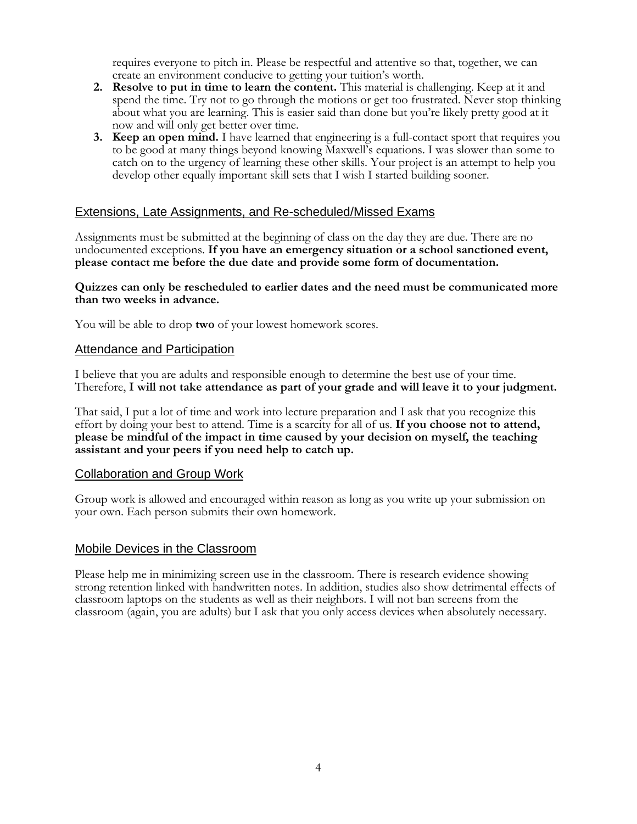requires everyone to pitch in. Please be respectful and attentive so that, together, we can create an environment conducive to getting your tuition's worth.

- **2. Resolve to put in time to learn the content.** This material is challenging. Keep at it and spend the time. Try not to go through the motions or get too frustrated. Never stop thinking about what you are learning. This is easier said than done but you're likely pretty good at it now and will only get better over time.
- **3. Keep an open mind.** I have learned that engineering is a full-contact sport that requires you to be good at many things beyond knowing Maxwell's equations. I was slower than some to catch on to the urgency of learning these other skills. Your project is an attempt to help you develop other equally important skill sets that I wish I started building sooner.

## Extensions, Late Assignments, and Re-scheduled/Missed Exams

Assignments must be submitted at the beginning of class on the day they are due. There are no undocumented exceptions. **If you have an emergency situation or a school sanctioned event, please contact me before the due date and provide some form of documentation.**

#### **Quizzes can only be rescheduled to earlier dates and the need must be communicated more than two weeks in advance.**

You will be able to drop **two** of your lowest homework scores.

## Attendance and Participation

I believe that you are adults and responsible enough to determine the best use of your time. Therefore, **I will not take attendance as part of your grade and will leave it to your judgment.**

That said, I put a lot of time and work into lecture preparation and I ask that you recognize this effort by doing your best to attend. Time is a scarcity for all of us. **If you choose not to attend, please be mindful of the impact in time caused by your decision on myself, the teaching assistant and your peers if you need help to catch up.**

#### Collaboration and Group Work

Group work is allowed and encouraged within reason as long as you write up your submission on your own. Each person submits their own homework.

## Mobile Devices in the Classroom

Please help me in minimizing screen use in the classroom. There is research evidence showing strong retention linked with handwritten notes. In addition, studies also show detrimental effects of classroom laptops on the students as well as their neighbors. I will not ban screens from the classroom (again, you are adults) but I ask that you only access devices when absolutely necessary.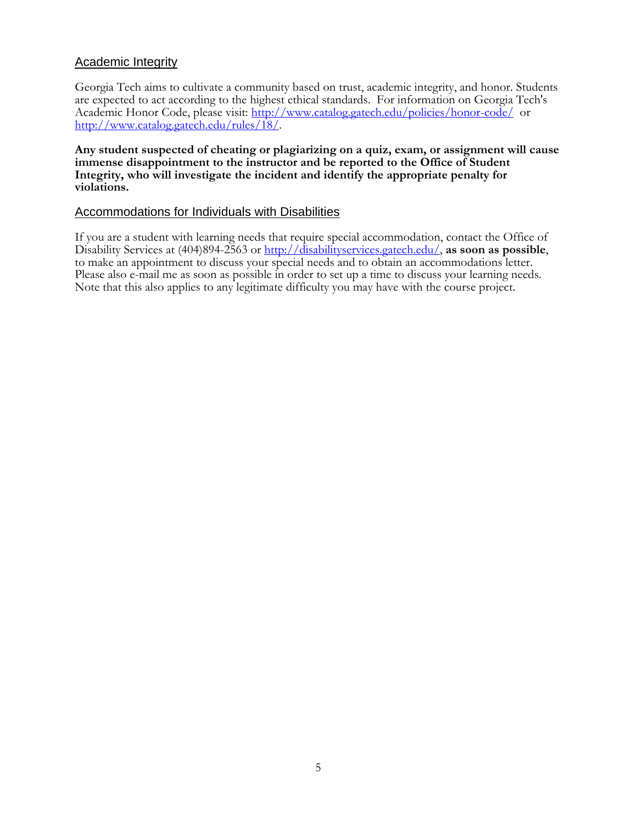## Academic Integrity

Georgia Tech aims to cultivate a community based on trust, academic integrity, and honor. Students are expected to act according to the highest ethical standards. For information on Georgia Tech's Academic Honor Code, please visit:<http://www.catalog.gatech.edu/policies/honor-code/>or [http://www.catalog.gatech.edu/rules/18/.](http://www.catalog.gatech.edu/rules/18/)

**Any student suspected of cheating or plagiarizing on a quiz, exam, or assignment will cause immense disappointment to the instructor and be reported to the Office of Student Integrity, who will investigate the incident and identify the appropriate penalty for violations.**

## Accommodations for Individuals with Disabilities

If you are a student with learning needs that require special accommodation, contact the Office of Disability Services at (404)894-2563 or [http://disabilityservices.gatech.edu/,](http://disabilityservices.gatech.edu/) **as soon as possible**, to make an appointment to discuss your special needs and to obtain an accommodations letter. Please also e-mail me as soon as possible in order to set up a time to discuss your learning needs. Note that this also applies to any legitimate difficulty you may have with the course project.